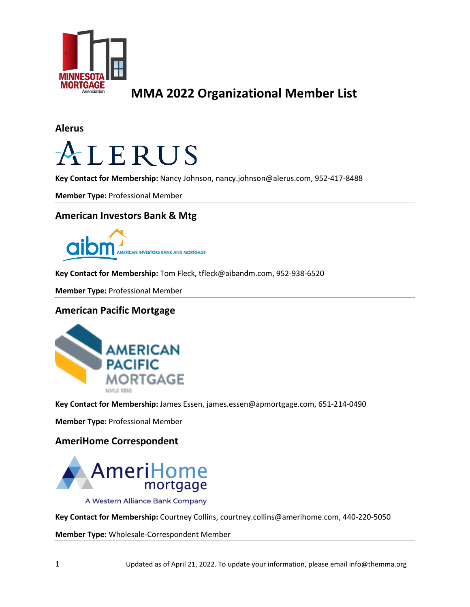

**Alerus**



**Key Contact for Membership:** Nancy Johnson, nancy.johnson@alerus.com, 952-417-8488

**Member Type:** Professional Member

### **American Investors Bank & Mtg**



**Key Contact for Membership:** Tom Fleck, tfleck@aibandm.com, 952-938-6520

**Member Type:** Professional Member

### **American Pacific Mortgage**



**Key Contact for Membership:** James Essen, james.essen@apmortgage.com, 651-214-0490

**Member Type:** Professional Member

### **AmeriHome Correspondent**



A Western Alliance Bank Company

**Key Contact for Membership:** Courtney Collins, courtney.collins@amerihome.com, 440-220-5050

**Member Type:** Wholesale-Correspondent Member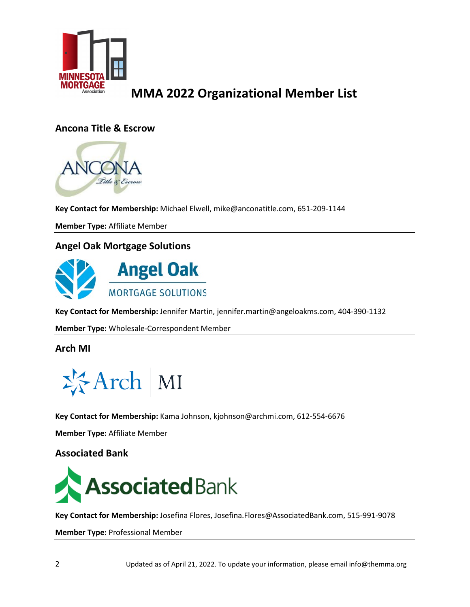

### **Ancona Title & Escrow**



**Key Contact for Membership:** Michael Elwell, mike@anconatitle.com, 651-209-1144

**Member Type:** Affiliate Member

### **Angel Oak Mortgage Solutions**



**Key Contact for Membership:** Jennifer Martin, jennifer.martin@angeloakms.com, 404-390-1132

**Member Type:** Wholesale-Correspondent Member

### **Arch MI**



**Key Contact for Membership:** Kama Johnson, kjohnson@archmi.com, 612-554-6676

**Member Type:** Affiliate Member

### **Associated Bank**



**Key Contact for Membership:** Josefina Flores, Josefina.Flores@AssociatedBank.com, 515-991-9078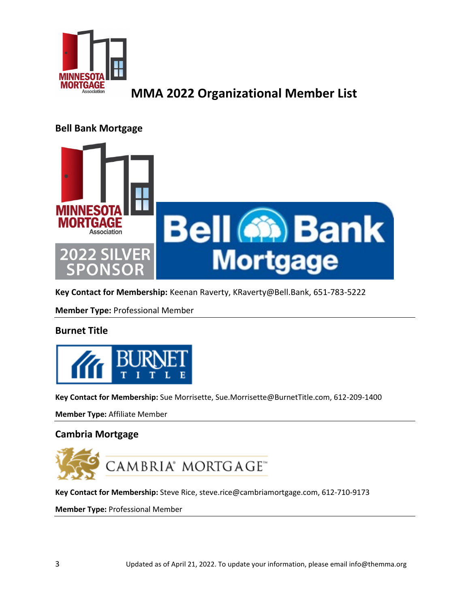

### **Bell Bank Mortgage**



**Key Contact for Membership:** Keenan Raverty, KRaverty@Bell.Bank, 651-783-5222

**Member Type:** Professional Member

### **Burnet Title**



**Key Contact for Membership:** Sue Morrisette, Sue.Morrisette@BurnetTitle.com, 612-209-1400

**Member Type:** Affiliate Member

### **Cambria Mortgage**



**Key Contact for Membership:** Steve Rice, steve.rice@cambriamortgage.com, 612-710-9173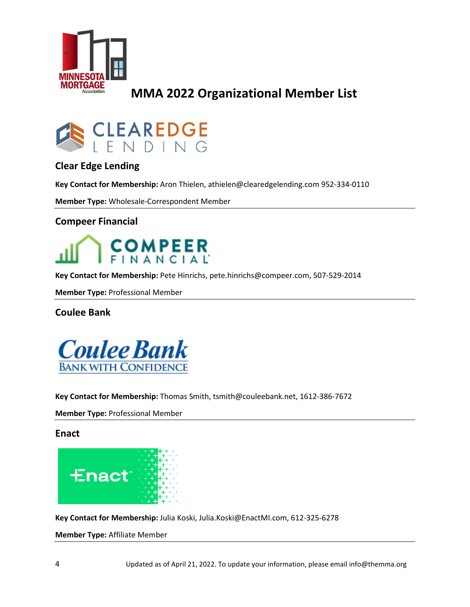



### **Clear Edge Lending**

**Key Contact for Membership:** Aron Thielen, athielen@clearedgelending.com 952-334-0110

**Member Type:** Wholesale-Correspondent Member

### **Compeer Financial**



**Key Contact for Membership:** Pete Hinrichs, pete.hinrichs@compeer.com, 507-529-2014

**Member Type:** Professional Member

**Coulee Bank**



**Key Contact for Membership:** Thomas Smith, tsmith@couleebank.net, 1612-386-7672

**Member Type:** Professional Member

**Enact**



**Key Contact for Membership:** Julia Koski, Julia.Koski@EnactMI.com, 612-325-6278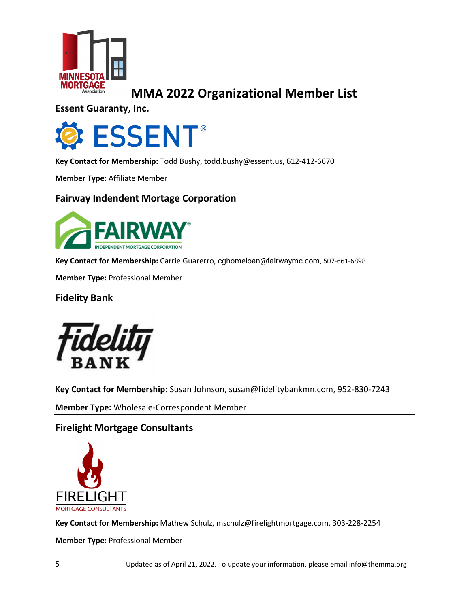

**Essent Guaranty, Inc.**



**Key Contact for Membership:** Todd Bushy, todd.bushy@essent.us, 612-412-6670

**Member Type:** Affiliate Member

### **Fairway Indendent Mortage Corporation**



**Key Contact for Membership:** Carrie Guarerro, [cghomeloan@fairwaymc.com,](mailto:cghomeloan@fairwaymc.com) 507-661-6898

**Member Type:** Professional Member

**Fidelity Bank**



**Key Contact for Membership:** Susan Johnson, susan@fidelitybankmn.com, 952-830-7243

**Member Type:** Wholesale-Correspondent Member

### **Firelight Mortgage Consultants**



**Key Contact for Membership:** Mathew Schulz, mschulz@firelightmortgage.com, 303-228-2254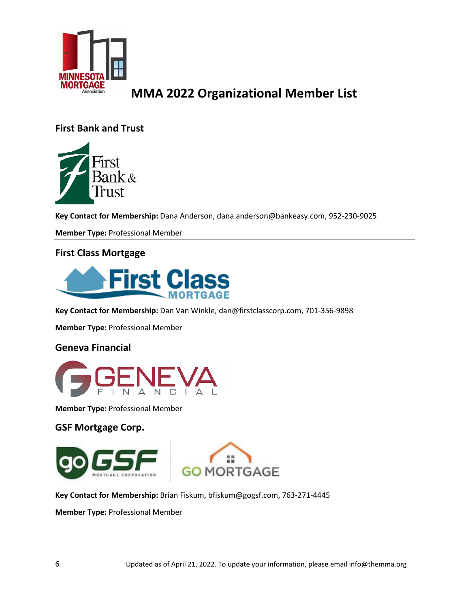

### **First Bank and Trust**



**Key Contact for Membership:** Dana Anderson, dana.anderson@bankeasy.com, 952-230-9025

**Member Type:** Professional Member

### **First Class Mortgage**



**Key Contact for Membership:** Dan Van Winkle, dan@firstclasscorp.com, 701-356-9898

**Member Type:** Professional Member

### **Geneva Financial**



**Member Type:** Professional Member

### **GSF Mortgage Corp.**





**Key Contact for Membership:** Brian Fiskum, bfiskum@gogsf.com, 763-271-4445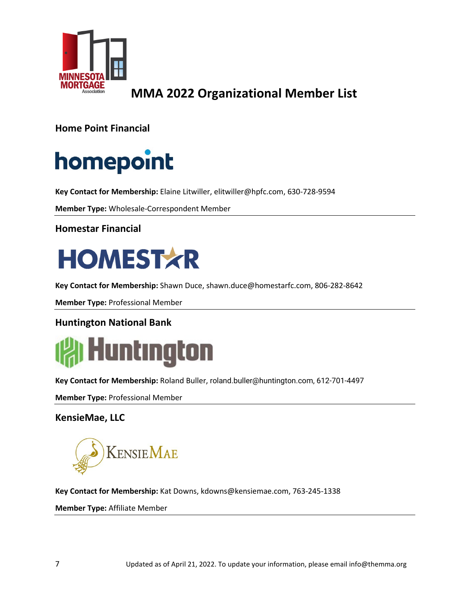

**Home Point Financial**

# homepoint

**Key Contact for Membership:** Elaine Litwiller, elitwiller@hpfc.com, 630-728-9594

**Member Type:** Wholesale-Correspondent Member

**Homestar Financial**



**Key Contact for Membership:** Shawn Duce, shawn.duce@homestarfc.com, 806-282-8642

**Member Type:** Professional Member

### **Huntington National Bank**



**Key Contact for Membership:** Roland Buller, [roland.buller@huntington.com,](mailto:roland.buller@huntington.com) 612-701-4497

**Member Type:** Professional Member

**KensieMae, LLC**

**KENSIEMAE** 

**Key Contact for Membership:** Kat Downs, kdowns@kensiemae.com, 763-245-1338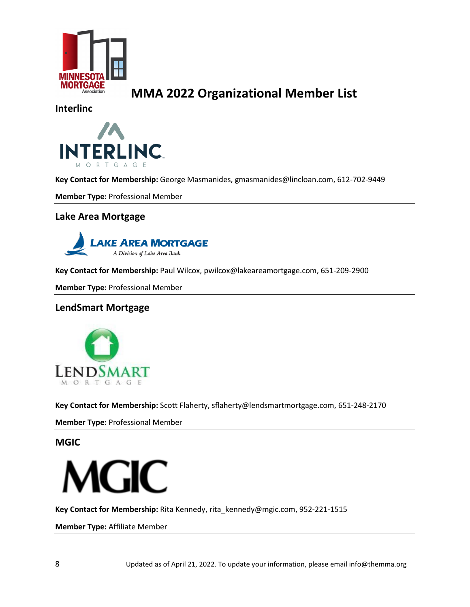

**Interlinc**



**Key Contact for Membership:** George Masmanides, [gmasmanides@lincloan.com,](mailto:gmasmanides@lincloan.com) 612-702-9449

**Member Type:** Professional Member

### **Lake Area Mortgage**



**Key Contact for Membership:** Paul Wilcox, pwilcox@lakeareamortgage.com, 651-209-2900

**Member Type:** Professional Member

### **LendSmart Mortgage**



**Key Contact for Membership:** Scott Flaherty, sflaherty@lendsmartmortgage.com, 651-248-2170

**Member Type:** Professional Member

**MGIC**



**Key Contact for Membership:** Rita Kennedy, [rita\\_kennedy@mgic.com,](mailto:rita_kennedy@mgic.com) 952-221-1515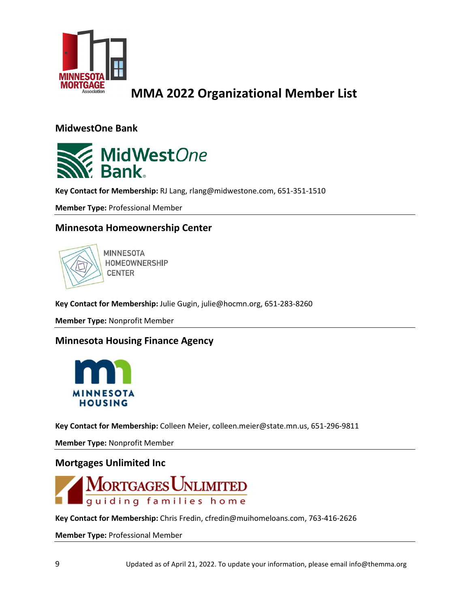

**MidwestOne Bank**



**Key Contact for Membership:** RJ Lang, rlang@midwestone.com, 651-351-1510

**Member Type:** Professional Member

### **Minnesota Homeownership Center**



**MINNESOTA** HOMEOWNERSHIP **CENTER** 

**Key Contact for Membership:** Julie Gugin, julie@hocmn.org, 651-283-8260

**Member Type:** Nonprofit Member

**Minnesota Housing Finance Agency**



**Key Contact for Membership:** Colleen Meier, colleen.meier@state.mn.us, 651-296-9811

**Member Type:** Nonprofit Member

### **Mortgages Unlimited Inc**



**Key Contact for Membership:** Chris Fredin, cfredin@muihomeloans.com, 763-416-2626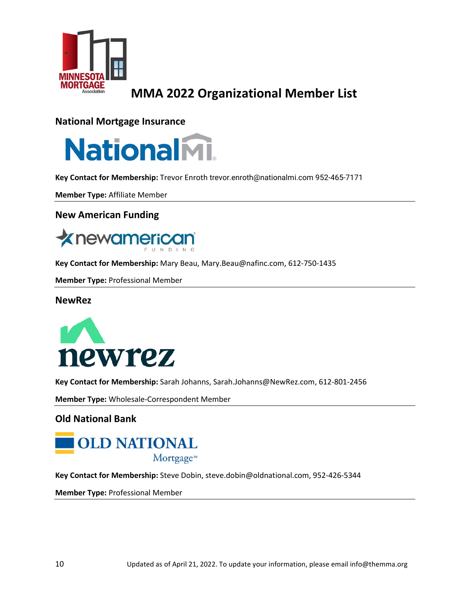

### **National Mortgage Insurance**



**Key Contact for Membership:** Trevor Enroth [trevor.enroth@nationalmi.com](mailto:trevor.enroth@nationalmi.com) 952-465-7171

**Member Type:** Affiliate Member

### **New American Funding**



**Key Contact for Membership:** Mary Beau, Mary.Beau@nafinc.com, 612-750-1435

**Member Type:** Professional Member

#### **NewRez**



**Key Contact for Membership:** Sarah Johanns, [Sarah.Johanns@NewRez.com,](mailto:Sarah.Johanns@NewRez.com) 612-801-2456

**Member Type:** Wholesale-Correspondent Member

### **Old National Bank**



**Key Contact for Membership:** Steve Dobin, steve.dobin@oldnational.com, 952-426-5344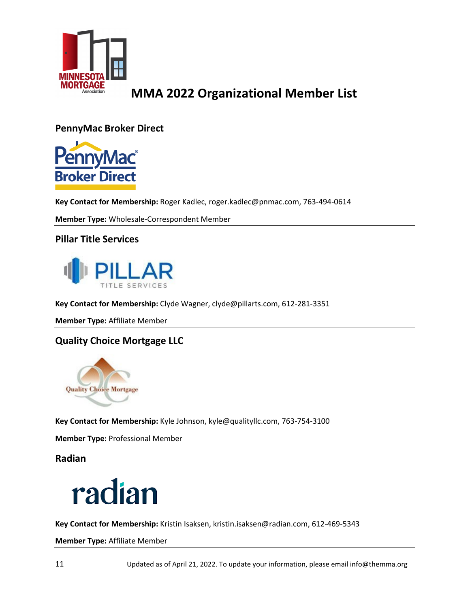

**PennyMac Broker Direct**



**Key Contact for Membership:** Roger Kadlec, roger.kadlec@pnmac.com, 763-494-0614

**Member Type:** Wholesale-Correspondent Member

### **Pillar Title Services**



**Key Contact for Membership:** Clyde Wagner, clyde@pillarts.com, 612-281-3351

**Member Type:** Affiliate Member

### **Quality Choice Mortgage LLC**



**Key Contact for Membership:** Kyle Johnson, kyle@qualityllc.com, 763-754-3100

**Member Type:** Professional Member

**Radian**



**Key Contact for Membership:** Kristin Isaksen, kristin.isaksen@radian.com, 612-469-5343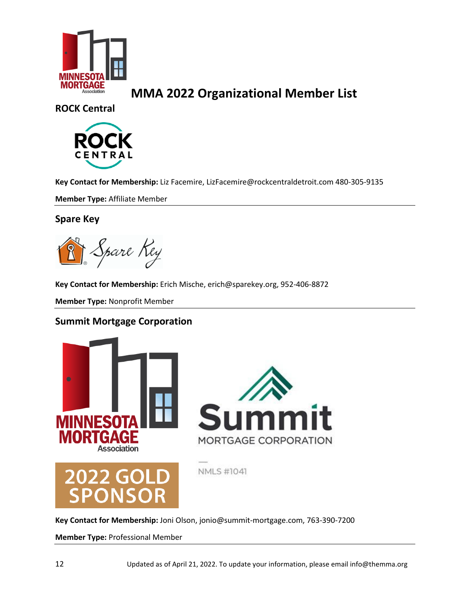

**ROCK Central**



**Key Contact for Membership:** Liz Facemire, [LizFacemire@rockcentraldetroit.com](mailto:LizFacemire@rockcentraldetroit.com) 480-305-9135

**Member Type:** Affiliate Member

### **Spare Key**

Spare Rey

**Key Contact for Membership:** Erich Mische, erich@sparekey.org, 952-406-8872

**Member Type:** Nonprofit Member

### **Summit Mortgage Corporation**



**Key Contact for Membership:** Joni Olson, jonio@summit-mortgage.com, 763-390-7200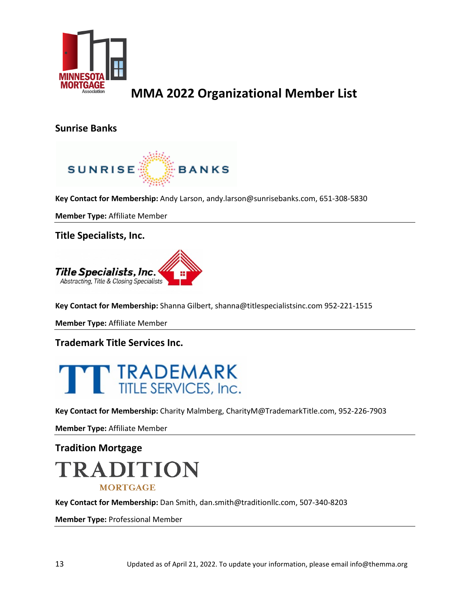

### **Sunrise Banks**



**Key Contact for Membership:** Andy Larson, [andy.larson@sunrisebanks.com,](mailto:andy.larson@sunrisebanks.com) 651-308-5830

**Member Type:** Affiliate Member

**Title Specialists, Inc.**



**Key Contact for Membership:** Shanna Gilbert, shanna@titlespecialistsinc.com 952-221-1515

**Member Type:** Affiliate Member

**Trademark Title Services Inc.**



**Key Contact for Membership:** Charity Malmberg, CharityM@TrademarkTitle.com, 952-226-7903

**Member Type:** Affiliate Member

# **Tradition Mortgage** TRADITION **MORTGAGE**

**Key Contact for Membership:** Dan Smith, dan.smith@traditionllc.com, 507-340-8203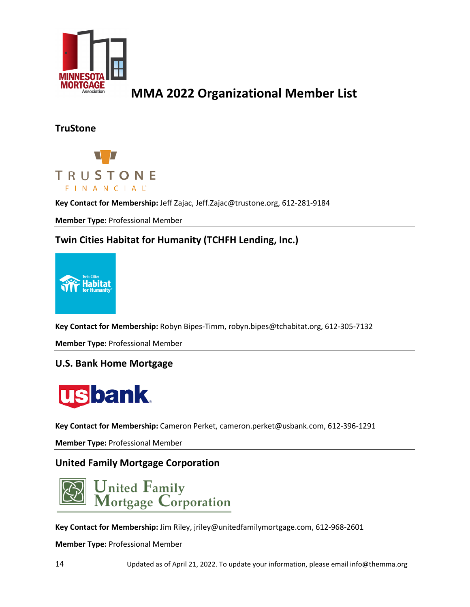

### **TruStone**



**Key Contact for Membership:** Jeff Zajac, Jeff.Zajac@trustone.org, 612-281-9184

**Member Type:** Professional Member

### **Twin Cities Habitat for Humanity (TCHFH Lending, Inc.)**



**Key Contact for Membership:** Robyn Bipes-Timm, robyn.bipes@tchabitat.org, 612-305-7132

**Member Type:** Professional Member

### **U.S. Bank Home Mortgage**



**Key Contact for Membership:** Cameron Perket, cameron.perket@usbank.com, 612-396-1291

**Member Type:** Professional Member

### **United Family Mortgage Corporation**



**Key Contact for Membership:** Jim Riley, jriley@unitedfamilymortgage.com, 612-968-2601